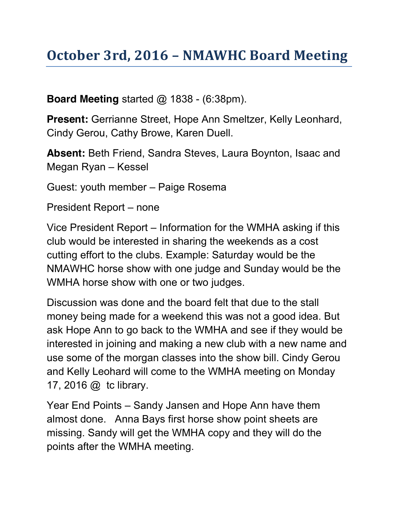## **October 3rd, 2016 – NMAWHC Board Meeting**

**Board Meeting** started @ 1838 - (6:38pm).

**Present:** Gerrianne Street, Hope Ann Smeltzer, Kelly Leonhard, Cindy Gerou, Cathy Browe, Karen Duell.

**Absent:** Beth Friend, Sandra Steves, Laura Boynton, Isaac and Megan Ryan – Kessel

Guest: youth member – Paige Rosema

President Report – none

Vice President Report – Information for the WMHA asking if this club would be interested in sharing the weekends as a cost cutting effort to the clubs. Example: Saturday would be the NMAWHC horse show with one judge and Sunday would be the WMHA horse show with one or two judges.

Discussion was done and the board felt that due to the stall money being made for a weekend this was not a good idea. But ask Hope Ann to go back to the WMHA and see if they would be interested in joining and making a new club with a new name and use some of the morgan classes into the show bill. Cindy Gerou and Kelly Leohard will come to the WMHA meeting on Monday 17, 2016 @ tc library.

Year End Points – Sandy Jansen and Hope Ann have them almost done. Anna Bays first horse show point sheets are missing. Sandy will get the WMHA copy and they will do the points after the WMHA meeting.